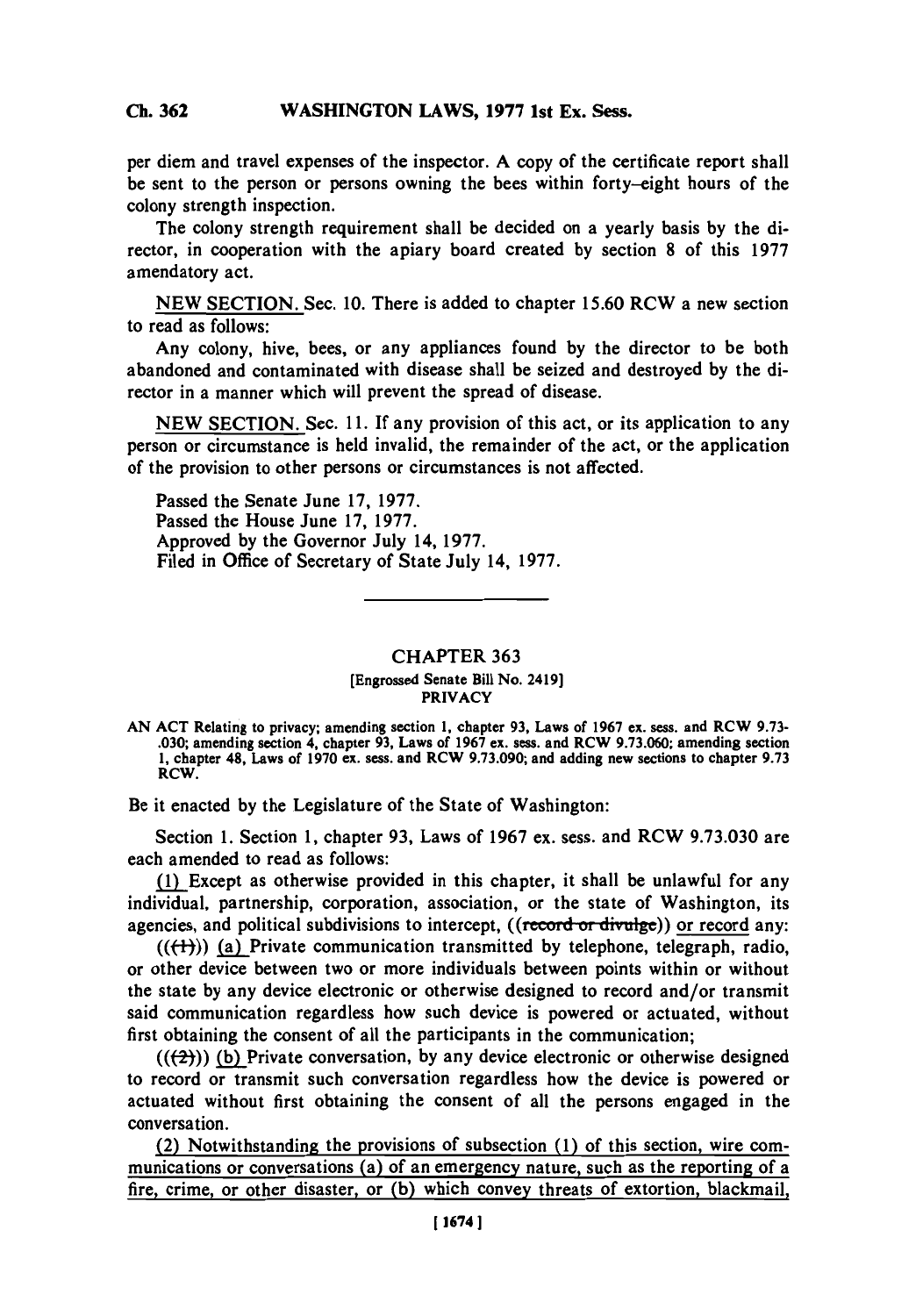## **Ch 362WASHINGTON LAWS, 1977 1st Ex. Sess. Ch. 362**

**per diem** and travel expenses of the inspector. **A** copy of the certificate report shall be sent to the person or persons owning the bees within forty-eight hours of the colony strength inspection.

The colony strength requirement shall be decided on a yearly basis **by** the director, in cooperation with the apiary board created **by** section **8** of this **1977** amendatory act.

**NEW** SECTION. Sec. **10.** There is added to chapter **15.60 RCW a new section** to read as follows:

Any colony, hive, bees, or any appliances found **by** the director to be both abandoned and contaminated with disease shall be seized and destroyed **by** the director in a manner which will prevent the spread of disease.

**NEW** SECTION. Sec. **11. If** any provision of this act, or its application to any person or circumstance is held invalid, the remainder of the act, or the application of the provision to other persons or circumstances is not affected.

Passed the Senate June **17, 1977.** Passed the House June **17, 1977.** Approved **by** the Governor July 14, **1977.** Filed in Office of Secretary of State July 14, **1977.**

## CHAPTER **363** [Engrossed Senate Bill No. 2419] PRIVACY

Be it enacted **by** the Legislature of the State of Washington:

Section **1.** Section **1,** chapter **93,** Laws of **1967** ex. sess. and RCW **9.73.030** are each amended to read as follows:

**(1)** Except as otherwise provided in this chapter, it shall be unlawful for any individual, partnership, corporation, association, or the state of Washington, its agencies, and political subdivisions to intercept,  $((\text{record or divide}))$  or record any:

 $((\{+) \})$  (a) Private communication transmitted by telephone, telegraph, radio, or other device between two or more individuals between points within or without the state **by** any device electronic or otherwise designed to record and/or transmit said communication regardless how such device is powered or actuated, without first obtaining the consent of all the participants in the communication;

**(((2))) (b)** Private conversation, **by** any device electronic or otherwise designed to record or transmit such conversation regardless how the device is powered or actuated without first obtaining the consent of all the persons engaged in the conversation.

(2) Notwithstanding the provisions of subsection **(1)** of this section, wire communications or conversations (a) of an emergency nature, such as the reporting of a fire, crime, or other disaster, or **(b)** which convey threats of extortion, blackmail,

**AN ACT** Relating to privacy; amending section **1,** chapter **93,** Laws of **1967** ex. ses, and RCW **9.73- .030;** amending section 4, chapter **93,** Laws of **1967** ex. sess. and RCW **9.73.060;** amending section **1,** chapter 48, Laws of **1970** ex. sess. and RCW **9.73.090;** and adding new sections to chapter **9.73** RCW.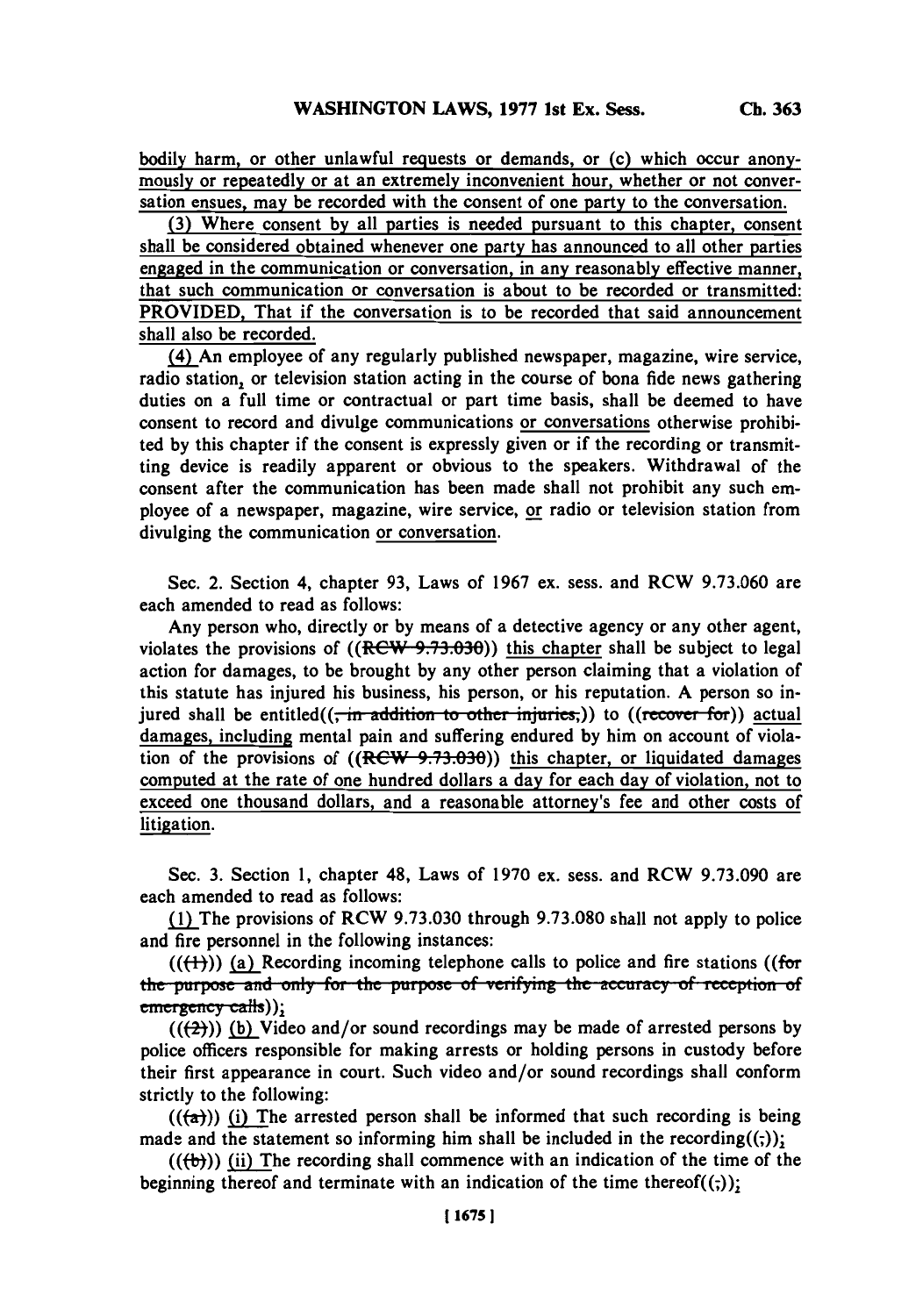bodily harm, or other unlawful requests or demands, or (c) which occur anonymously or repeatedly or at an extremely inconvenient hour, whether or not conversation ensues, may be recorded with the consent of one party to the conversation.

**(3)** Where consent **by** all parties is needed pursuant to this chapter, consent shall be considered obtained whenever one party has announced to all other parties engaged in the communication or conversation, in any reasonably effective manner, that such communication or conversation is about to be recorded or transmitted: PROVIDED, That if the conversation is to be recorded that said announcement shall also be recorded.

(4) An employee of any regularly published newspaper, magazine, wire service, radio station, or television station acting in the course of bona fide news gathering duties on a full time or contractual or part time basis, shall be deemed to have consent to record and divulge communications or conversations otherwise prohibited **by** this chapter if the consent is expressly given or if the recording or transmitting device is readily apparent or obvious to the speakers. Withdrawal of the consent after the communication has been made shall not prohibit any such employee of a newspaper, magazine, wire service, or radio or television station from divulging the communication or conversation.

Sec. 2. Section 4, chapter **93,** Laws of **1967** ex. sess. and RCW **9.73.060** are each amended to read as follows:

Any person who, directly or **by** means of a detective agency or any other agent, violates the provisions of  $((~~RCW 9.73.030~~)) this chapter shall be subject to legal$ action for damages, to be brought **by** any other person claiming that a violation of this statute has injured his business, his person, or his reputation. **A** person so injured shall be entitled((<del>, in addition to other injuries,</del>)) to ((recover for)) actual damages, including mental pain and suffering endured **by** him on account of violation of the provisions of  $((R<sup>ew</sup>, 9.73.030))$  this chapter, or liquidated damages computed at the rate of one hundred dollars a day for each day of violation, not to exceed one thousand dollars, and a reasonable attorney's fee and other costs of litigation.

Sec. **3.** Section **1,** chapter 48, Laws of **1970** ex. sess. and RCW **9.73.090** are each amended to read as follows:

jIThe provisions of RCW **9.73.030** through **9.73.080** shall not apply to police and fire personnel in the following instances:

 $((\text{(+)}))$  (a) Recording incoming telephone calls to police and fire stations ((for **the purpose and only for the purpose of verifying the accuracy of reception of** emergency calls));

(((2))) **(b)** Video and/or sound recordings may be made of arrested persons **by** police officers responsible for making arrests or holding persons in custody before their first appearance in court. Such video and/or sound recordings shall conform strictly to the following:

 $((\overline{a}))$  (i) The arrested person shall be informed that such recording is being made and the statement so informing him shall be included in the recording $((\cdot))$ ;

 $((\forall b))$  (ii) The recording shall commence with an indication of the time of the beginning thereof and terminate with an indication of the time thereof $((,))$ ;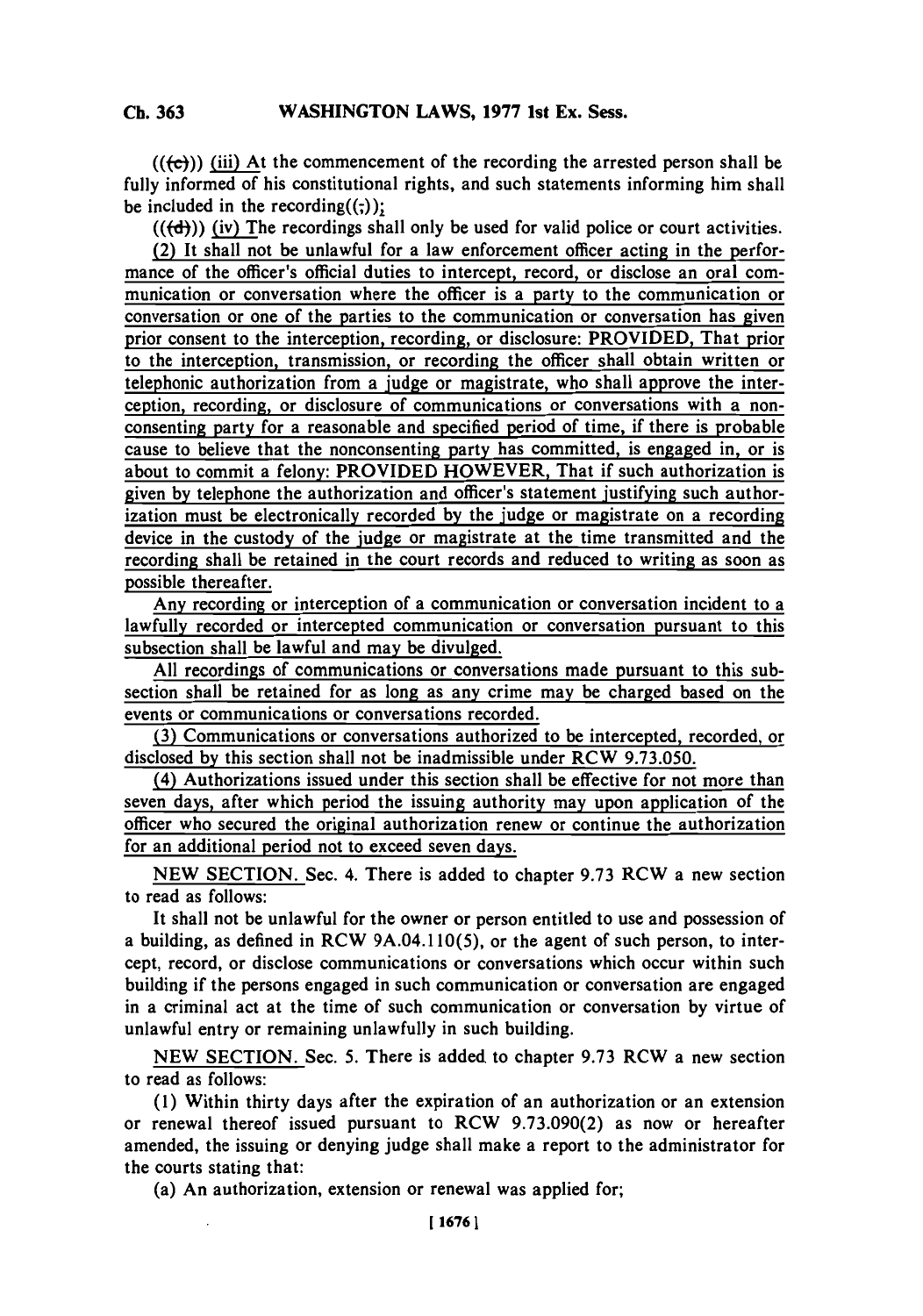**Ch. 363**

 $((\langle \mathbf{c} \rangle)$  (iii) At the commencement of the recording the arrested person shall be fully informed of his constitutional rights, and such statements informing him shall be included in the recording $((\cdot))$ :

 $((\text{ (d)}))$  (iv) The recordings shall only be used for valid police or court activities.

(2) It shall not be unlawful for a law enforcement officer acting in the performance of the officer's official duties to intercept, record, or disclose an oral communication or conversation where the officer is a party to the communication or conversation or one of the parties to the communication or conversation has given prior consent to the interception, recording, or disclosure: PROVIDED, That prior to the interception, transmission, or recording the officer shall obtain written or telephonic authorization from a judge or magistrate, who shall approve the interception, recording, or disclosure of communications or conversations with a nonconsenting party for a reasonable and specified period of time, if there is probable cause to believe that the nonconsenting party has committed, is engaged in, or is about to commit a felony: PROVIDED HOWEVER, That if such authorization is given **by** telephone the authorization and officer's statement justifying such authorization must be electronically recorded **by** the judge or magistrate on a recording device in the custody of the judge or magistrate at the time transmitted and the recording shall be retained in the court records and reduced to writing as soon as possible thereafter.

Any recording or interception of a communication or conversation incident to a lawfully recorded or intercepted communication or conversation pursuant to this subsection shall be lawful and may be divulged.

**All** recordings of communications or conversations made pursuant to this subsection shall be retained for as long as any crime may be charged based on the events or communications or conversations recorded.

**(3)** Communications or conversations authorized to be intercepted, recorded, or disclosed **by** this section shall not be inadmissible under RCW **9.73.050.**

(4) Authorizations issued under this section shall be effective for not more than seven days, after which period the issuing authority may upon application of the officer who secured the original authorization renew or continue the authorization for an additional period not to exceed seven days.

**NEW SECTION.** Sec. 4. There is added to chapter **9.73** RCW a new section to read as follows:

It shall not be unlawful for the owner or person entitled to use and possession of a building, as defined in RCW 9A.04.1 10(5), or the agent of such person, to intercept, record, or disclose communications or conversations which occur within such building if the persons engaged in such communication or conversation are engaged in a criminal act at the time of such communication or conversation **by** virtue of unlawful entry or remaining unlawfully in such building.

**NEW** SECTION. Sec. **5.** There is added to chapter **9.73** RCW a new section to read as follows:

**(1)** Within thirty days after the expiration of an authorization or an extension or renewal thereof issued pursuant to RCW **9.73.090(2)** as now or hereafter amended, the issuing or denying judge shall make a report to the administrator for the courts stating that:

(a) An authorization, extension or renewal was applied for;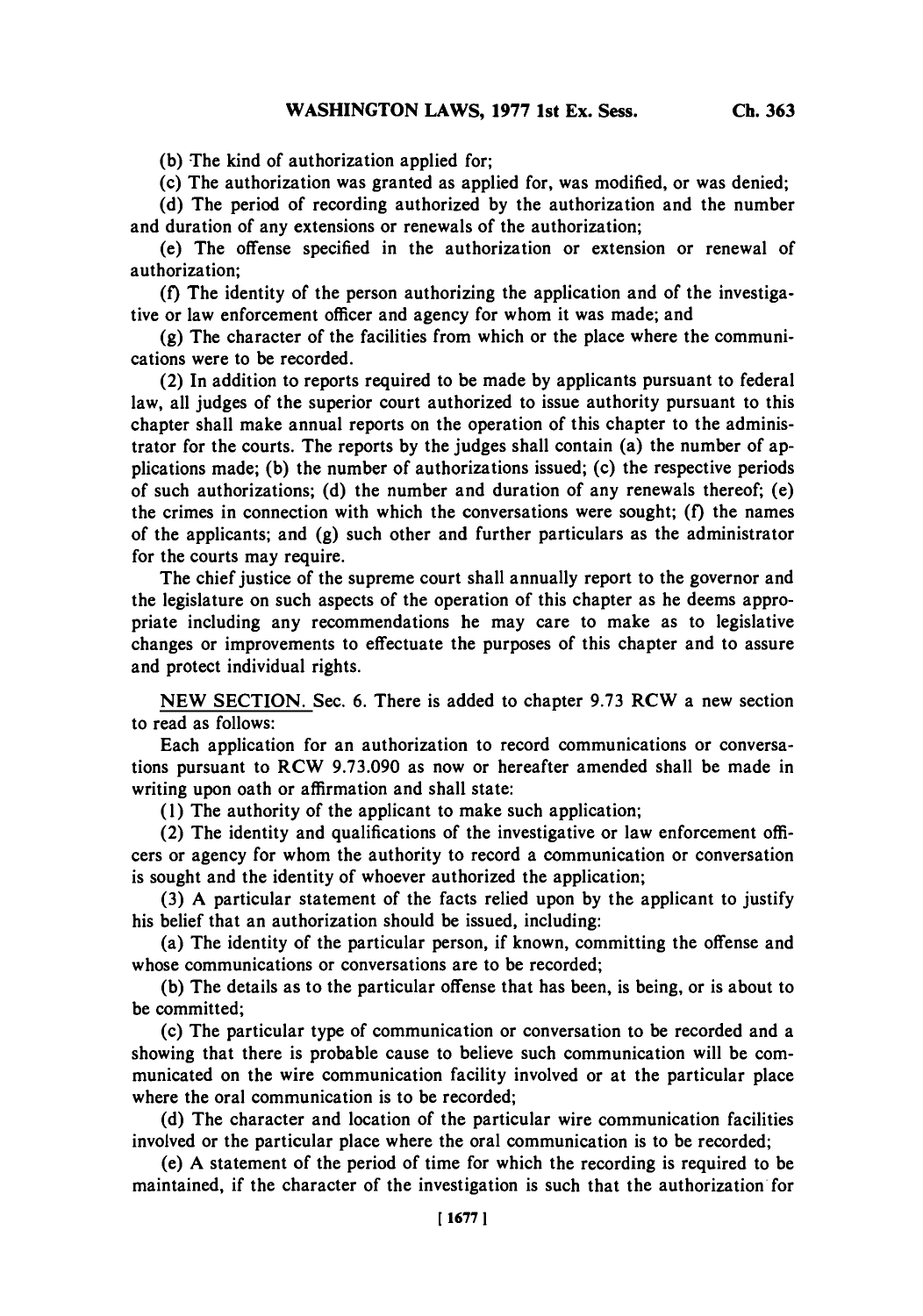**(b)** The kind of authorization applied for;

(c) The authorization was granted as applied for, was modified, or was denied;

**(d)** The period of recording authorized **by** the authorization and the number and duration of any extensions or renewals of the authorization;

(e) The offense specified in the authorization or extension or renewal of authorization;

**(f)** The identity of the person authorizing the application and of the investigative or law enforcement officer and agency for whom it was made; and

**(g)** The character of the facilities from which or the place where the communications were to be recorded.

(2) In addition to reports required to be made **by** applicants pursuant to federal law, all judges of the superior court authorized to issue authority pursuant to this chapter shall make annual reports on the operation of this chapter to the administrator for the courts. The reports **by** the judges shall contain (a) the number of applications made; **(b)** the number of authorizations issued; (c) the respective periods of such authorizations; **(d)** the number and duration of any renewals thereof;, (e) the crimes in connection with which the conversations were sought; **(f)** the names of the applicants; and **(g)** such other and further particulars as the administrator for the courts may require.

The chief justice of the supreme court shall annually report to the governor and the legislature on such aspects of the operation of this chapter as he deems appropriate including any recommendations he may care to make as to legislative changes or improvements to effectuate the purposes of this chapter and to assure and protect individual rights.

**NEW SECTION.** Sec. **6.** There is added to chapter **9.73** RCW a new section to read as follows:

Each application for an authorization to record communications or conversations pursuant to RCW **9.73.090** as now or hereafter amended shall be made in writing upon oath or affirmation and shall state:

**(1)** The authority of the applicant to make such application;

(2) The identity and qualifications of the investigative or law enforcement officers or agency for whom the authority to record a communication or conversation is sought and the identity of whoever authorized the application;

**(3) A** particular statement of the facts relied upon **by** the applicant to justify his belief that an authorization should be issued, including:

(a) The identity of the particular person, if known, committing the offense and whose communications or conversations are to be recorded;

**(b)** The details as to the particular offense that has been, is being, or is about to be committed;

(c) The particular type of communication or conversation to be recorded and a showing that there is probable cause to believe such communication will be communicated on the wire communication facility involved or at the particular place where the oral communication is to be recorded;

**(d)** The character and location of the particular wire communication facilities involved or the particular place where the oral communication is to be recorded;

(e) **A** statement of the period of time for which the recording is required to be maintained, if the character of the investigation is such that the authorization for